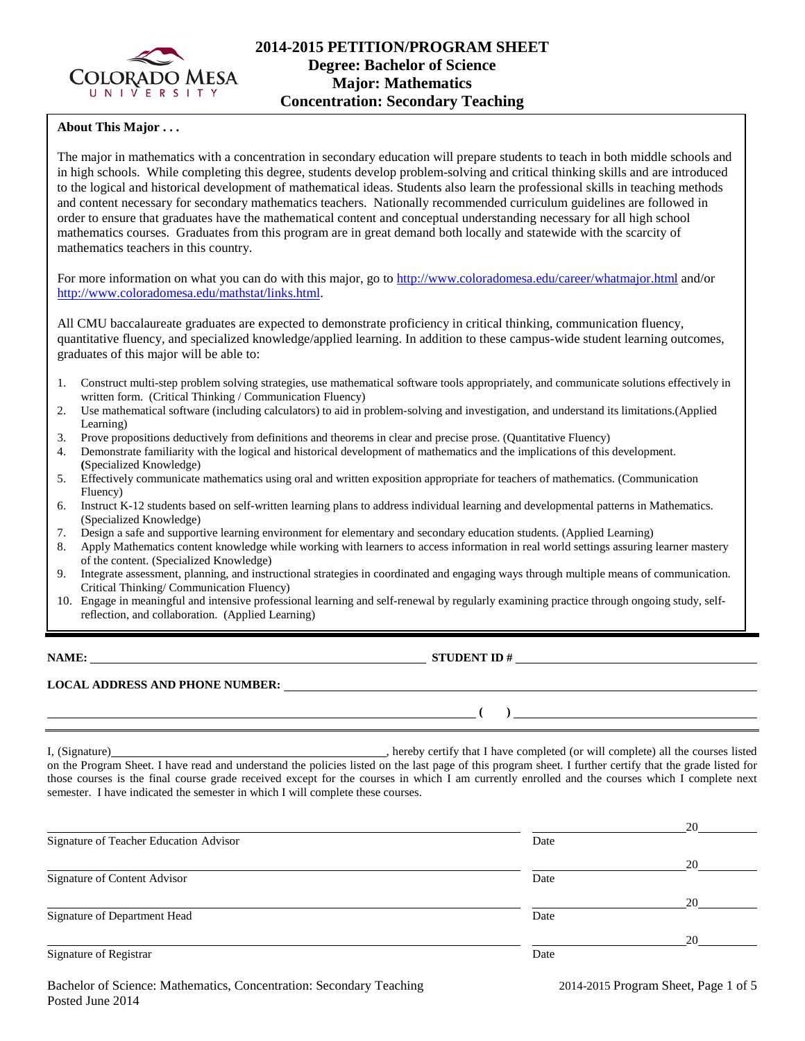

# **2014-2015 PETITION/PROGRAM SHEET Degree: Bachelor of Science Major: Mathematics Concentration: Secondary Teaching**

### **About This Major . . .**

The major in mathematics with a concentration in secondary education will prepare students to teach in both middle schools and in high schools. While completing this degree, students develop problem-solving and critical thinking skills and are introduced to the logical and historical development of mathematical ideas. Students also learn the professional skills in teaching methods and content necessary for secondary mathematics teachers. Nationally recommended curriculum guidelines are followed in order to ensure that graduates have the mathematical content and conceptual understanding necessary for all high school mathematics courses. Graduates from this program are in great demand both locally and statewide with the scarcity of mathematics teachers in this country.

For more information on what you can do with this major, go to<http://www.coloradomesa.edu/career/whatmajor.html> and/or [http://www.coloradomesa.edu/mathstat/links.html.](http://www.coloradomesa.edu/mathstat/links.html)

All CMU baccalaureate graduates are expected to demonstrate proficiency in critical thinking, communication fluency, quantitative fluency, and specialized knowledge/applied learning. In addition to these campus-wide student learning outcomes, graduates of this major will be able to:

- 1. Construct multi-step problem solving strategies, use mathematical software tools appropriately, and communicate solutions effectively in written form. (Critical Thinking / Communication Fluency)
- 2. Use mathematical software (including calculators) to aid in problem-solving and investigation, and understand its limitations.(Applied Learning)
- 3. Prove propositions deductively from definitions and theorems in clear and precise prose. (Quantitative Fluency)
- 4. Demonstrate familiarity with the logical and historical development of mathematics and the implications of this development. **(**Specialized Knowledge)
- 5. Effectively communicate mathematics using oral and written exposition appropriate for teachers of mathematics. (Communication Fluency)
- 6. Instruct K-12 students based on self-written learning plans to address individual learning and developmental patterns in Mathematics. (Specialized Knowledge)
- 7. Design a safe and supportive learning environment for elementary and secondary education students. (Applied Learning)
- 8. Apply Mathematics content knowledge while working with learners to access information in real world settings assuring learner mastery of the content. (Specialized Knowledge)
- 9. Integrate assessment, planning, and instructional strategies in coordinated and engaging ways through multiple means of communication. Critical Thinking/ Communication Fluency)
- 10. Engage in meaningful and intensive professional learning and self-renewal by regularly examining practice through ongoing study, selfreflection, and collaboration. (Applied Learning)

**NAME: STUDENT ID #** 

 $($   $)$ 

#### **LOCAL ADDRESS AND PHONE NUMBER:**

I, (Signature) , hereby certify that I have completed (or will complete) all the courses listed on the Program Sheet. I have read and understand the policies listed on the last page of this program sheet. I further certify that the grade listed for those courses is the final course grade received except for the courses in which I am currently enrolled and the courses which I complete next semester. I have indicated the semester in which I will complete these courses.

|                                        |      | 20 |
|----------------------------------------|------|----|
| Signature of Teacher Education Advisor | Date |    |
|                                        |      | 20 |
| Signature of Content Advisor           | Date |    |
|                                        |      | 20 |
| Signature of Department Head           | Date |    |
|                                        |      | 20 |
| Signature of Registrar                 | Date |    |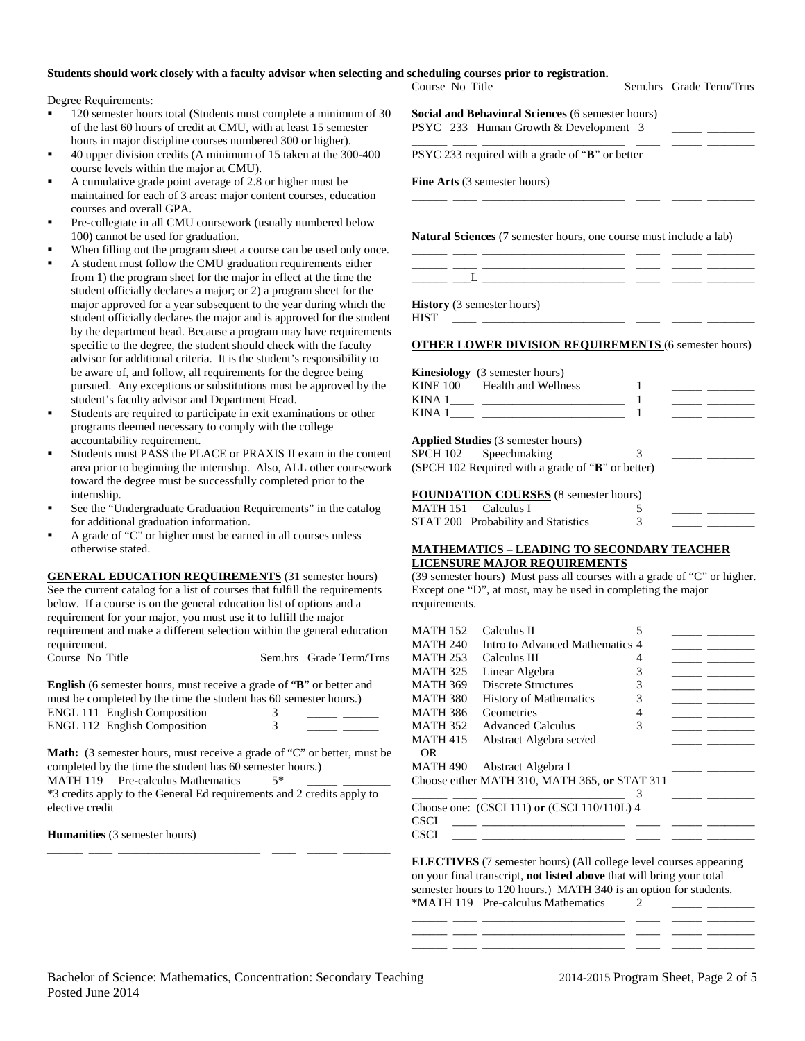#### **Students should work closely with a faculty advisor when selecting and scheduling courses prior to registration.**

Degree Requirements:

- 120 semester hours total (Students must complete a minimum of the last 60 hours of credit at CMU, with at least 15 semester hours in major discipline courses numbered 300 or higher).
- 40 upper division credits (A minimum of  $15$  taken at the 300-4 course levels within the major at CMU).
- A cumulative grade point average of 2.8 or higher must be maintained for each of 3 areas: major content courses, education courses and overall GPA.
- Pre-collegiate in all CMU coursework (usually numbered belo 100) cannot be used for graduation.
- When filling out the program sheet a course can be used only
- A student must follow the CMU graduation requirements either from 1) the program sheet for the major in effect at the time the student officially declares a major; or 2) a program sheet for the major approved for a year subsequent to the year during which student officially declares the major and is approved for the student by the department head. Because a program may have requirer specific to the degree, the student should check with the facult advisor for additional criteria. It is the student's responsibility be aware of, and follow, all requirements for the degree being pursued. Any exceptions or substitutions must be approved by student's faculty advisor and Department Head.
- Students are required to participate in exit examinations or oth programs deemed necessary to comply with the college accountability requirement.
- Students must PASS the PLACE or PRAXIS II exam in the co area prior to beginning the internship. Also, ALL other course toward the degree must be successfully completed prior to the internship.
- See the "Undergraduate Graduation Requirements" in the cata for additional graduation information.
- A grade of "C" or higher must be earned in all courses unless otherwise stated.

**GENERAL EDUCATION REQUIREMENTS** (31 semester hour See the current catalog for a list of courses that fulfill the requirement below. If a course is on the general education list of options and a requirement for your major, you must use it to fulfill the major requirement and make a different selection within the general education requirement.<br>Course No Title Sem.hrs Grade Term

**English** (6 semester hours, must receive a grade of "B" or better and must be completed by the time the student has 60 semester hours.) ENGL 111 English Composition 3<br>ENGL 112 English Composition 3 ENGL  $112$  English Composition

Math: (3 semester hours, must receive a grade of "C" or better, must be completed by the time the student has 60 semester hours.) MATH 119 Pre-calculus Mathematics  $5*$ 

\*3 credits apply to the General Ed requirements and 2 credits apply to elective credit

\_\_\_\_\_\_ \_\_\_\_ \_\_\_\_\_\_\_\_\_\_\_\_\_\_\_\_\_\_\_\_\_\_\_\_ \_\_\_\_ \_\_\_\_\_ \_\_\_\_\_\_\_\_

**Humanities** (3 semester hours)

| Course No Title                                  | ang anu seneuunng courses prior to registration.                                           |        | Sem.hrs Grade Term/Trns                                                                                                                                                                                                                                                                                                                                                                                                                                                         |
|--------------------------------------------------|--------------------------------------------------------------------------------------------|--------|---------------------------------------------------------------------------------------------------------------------------------------------------------------------------------------------------------------------------------------------------------------------------------------------------------------------------------------------------------------------------------------------------------------------------------------------------------------------------------|
|                                                  | Social and Behavioral Sciences (6 semester hours)<br>PSYC 233 Human Growth & Development 3 |        |                                                                                                                                                                                                                                                                                                                                                                                                                                                                                 |
|                                                  | PSYC 233 required with a grade of "B" or better                                            |        |                                                                                                                                                                                                                                                                                                                                                                                                                                                                                 |
|                                                  |                                                                                            |        |                                                                                                                                                                                                                                                                                                                                                                                                                                                                                 |
| <b>Fine Arts</b> (3 semester hours)              |                                                                                            |        |                                                                                                                                                                                                                                                                                                                                                                                                                                                                                 |
|                                                  |                                                                                            |        |                                                                                                                                                                                                                                                                                                                                                                                                                                                                                 |
|                                                  | <b>Natural Sciences</b> (7 semester hours, one course must include a lab)                  |        |                                                                                                                                                                                                                                                                                                                                                                                                                                                                                 |
|                                                  |                                                                                            |        |                                                                                                                                                                                                                                                                                                                                                                                                                                                                                 |
|                                                  |                                                                                            |        |                                                                                                                                                                                                                                                                                                                                                                                                                                                                                 |
|                                                  |                                                                                            |        |                                                                                                                                                                                                                                                                                                                                                                                                                                                                                 |
| <b>History</b> (3 semester hours)<br><b>HIST</b> |                                                                                            |        |                                                                                                                                                                                                                                                                                                                                                                                                                                                                                 |
|                                                  |                                                                                            |        |                                                                                                                                                                                                                                                                                                                                                                                                                                                                                 |
|                                                  | <b>OTHER LOWER DIVISION REQUIREMENTS (6 semester hours)</b>                                |        |                                                                                                                                                                                                                                                                                                                                                                                                                                                                                 |
|                                                  |                                                                                            |        |                                                                                                                                                                                                                                                                                                                                                                                                                                                                                 |
|                                                  | Kinesiology (3 semester hours)                                                             |        |                                                                                                                                                                                                                                                                                                                                                                                                                                                                                 |
|                                                  | KINE 100 Health and Wellness                                                               | 1      |                                                                                                                                                                                                                                                                                                                                                                                                                                                                                 |
|                                                  |                                                                                            | 1<br>1 | $\overline{\phantom{a}}$ $\overline{\phantom{a}}$ $\overline{\phantom{a}}$ $\overline{\phantom{a}}$ $\overline{\phantom{a}}$ $\overline{\phantom{a}}$ $\overline{\phantom{a}}$ $\overline{\phantom{a}}$ $\overline{\phantom{a}}$ $\overline{\phantom{a}}$ $\overline{\phantom{a}}$ $\overline{\phantom{a}}$ $\overline{\phantom{a}}$ $\overline{\phantom{a}}$ $\overline{\phantom{a}}$ $\overline{\phantom{a}}$ $\overline{\phantom{a}}$ $\overline{\phantom{a}}$ $\overline{\$ |
|                                                  |                                                                                            |        |                                                                                                                                                                                                                                                                                                                                                                                                                                                                                 |
|                                                  | <b>Applied Studies (3 semester hours)</b>                                                  |        |                                                                                                                                                                                                                                                                                                                                                                                                                                                                                 |
| SPCH 102                                         | Speechmaking                                                                               | 3      |                                                                                                                                                                                                                                                                                                                                                                                                                                                                                 |
|                                                  | (SPCH 102 Required with a grade of "B" or better)                                          |        |                                                                                                                                                                                                                                                                                                                                                                                                                                                                                 |
|                                                  | <b>FOUNDATION COURSES</b> (8 semester hours)                                               |        |                                                                                                                                                                                                                                                                                                                                                                                                                                                                                 |
| MATH 151 Calculus I                              |                                                                                            | 5      |                                                                                                                                                                                                                                                                                                                                                                                                                                                                                 |
|                                                  | STAT 200 Probability and Statistics                                                        | 3      |                                                                                                                                                                                                                                                                                                                                                                                                                                                                                 |
|                                                  |                                                                                            |        |                                                                                                                                                                                                                                                                                                                                                                                                                                                                                 |
|                                                  | <b>MATHEMATICS - LEADING TO SECONDARY TEACHER</b>                                          |        |                                                                                                                                                                                                                                                                                                                                                                                                                                                                                 |
|                                                  | <b>LICENSURE MAJOR REQUIREMENTS</b>                                                        |        |                                                                                                                                                                                                                                                                                                                                                                                                                                                                                 |
|                                                  | (39 semester hours) Must pass all courses with a grade of "C" or higher.                   |        |                                                                                                                                                                                                                                                                                                                                                                                                                                                                                 |
|                                                  | Except one "D", at most, may be used in completing the major                               |        |                                                                                                                                                                                                                                                                                                                                                                                                                                                                                 |
| requirements.                                    |                                                                                            |        |                                                                                                                                                                                                                                                                                                                                                                                                                                                                                 |
| <b>MATH 152</b>                                  | Calculus II                                                                                | 5      |                                                                                                                                                                                                                                                                                                                                                                                                                                                                                 |
| <b>MATH 240</b>                                  | Intro to Advanced Mathematics 4                                                            |        |                                                                                                                                                                                                                                                                                                                                                                                                                                                                                 |
| MATH 253                                         | Calculus III                                                                               | 4      |                                                                                                                                                                                                                                                                                                                                                                                                                                                                                 |
| <b>MATH 325</b>                                  | Linear Algebra                                                                             | 3      |                                                                                                                                                                                                                                                                                                                                                                                                                                                                                 |
| <b>MATH 369</b>                                  | Discrete Structures                                                                        | 3      | $ -$                                                                                                                                                                                                                                                                                                                                                                                                                                                                            |
| <b>MATH 380</b>                                  | <b>History of Mathematics</b>                                                              | 3      |                                                                                                                                                                                                                                                                                                                                                                                                                                                                                 |
| <b>MATH 386</b>                                  | Geometries                                                                                 | 4      | <u>and a strong of the strong of the strong of the strong of the strong of the strong of the strong of the strong of the strong of the strong of the strong of the strong of the strong of the strong of the strong of the stron</u>                                                                                                                                                                                                                                            |
|                                                  |                                                                                            |        | - -                                                                                                                                                                                                                                                                                                                                                                                                                                                                             |

**ELECTIVES** (7 semester hours) (All college level courses appearing on your final transcript, **not listed above** that will bring your total semester hours to 120 hours.) MATH 340 is an option for students. \*MATH 119 Pre-calculus Mathematics  $\begin{bmatrix} 2 \end{bmatrix}$ 

\_\_\_\_\_\_ \_\_\_\_ \_\_\_\_\_\_\_\_\_\_\_\_\_\_\_\_\_\_\_\_\_\_\_\_ \_\_\_\_ \_\_\_\_\_ \_\_\_\_\_\_\_\_ \_\_\_\_\_\_ \_\_\_\_ \_\_\_\_\_\_\_\_\_\_\_\_\_\_\_\_\_\_\_\_\_\_\_\_ \_\_\_\_ \_\_\_\_\_ \_\_\_\_\_\_\_\_ \_\_\_\_\_\_ \_\_\_\_ \_\_\_\_\_\_\_\_\_\_\_\_\_\_\_\_\_\_\_\_\_\_\_\_ \_\_\_\_ \_\_\_\_\_ \_\_\_\_\_\_\_\_

\_\_\_\_\_\_ \_\_\_\_ \_\_\_\_\_\_\_\_\_\_\_\_\_\_\_\_\_\_\_\_\_\_\_\_ 3 \_\_\_\_\_ \_\_\_\_\_\_\_\_

 $\text{CSCI}$   $\_\_\_\_\_\_\_\_\_\_\_\_\_$  $\text{CSCI}$   $\_\_\_\_\_\_\_\_\_\_\_\_\_$ 

MATH 352 Advanced Calculus 3 MATH 415 Abstract Algebra sec/ed

Choose one: (CSCI 111) **or** (CSCI 110/110L) 4

Choose either MATH 310, MATH 365, **or** STAT 311

MATH 490 Abstract Algebra I

OR

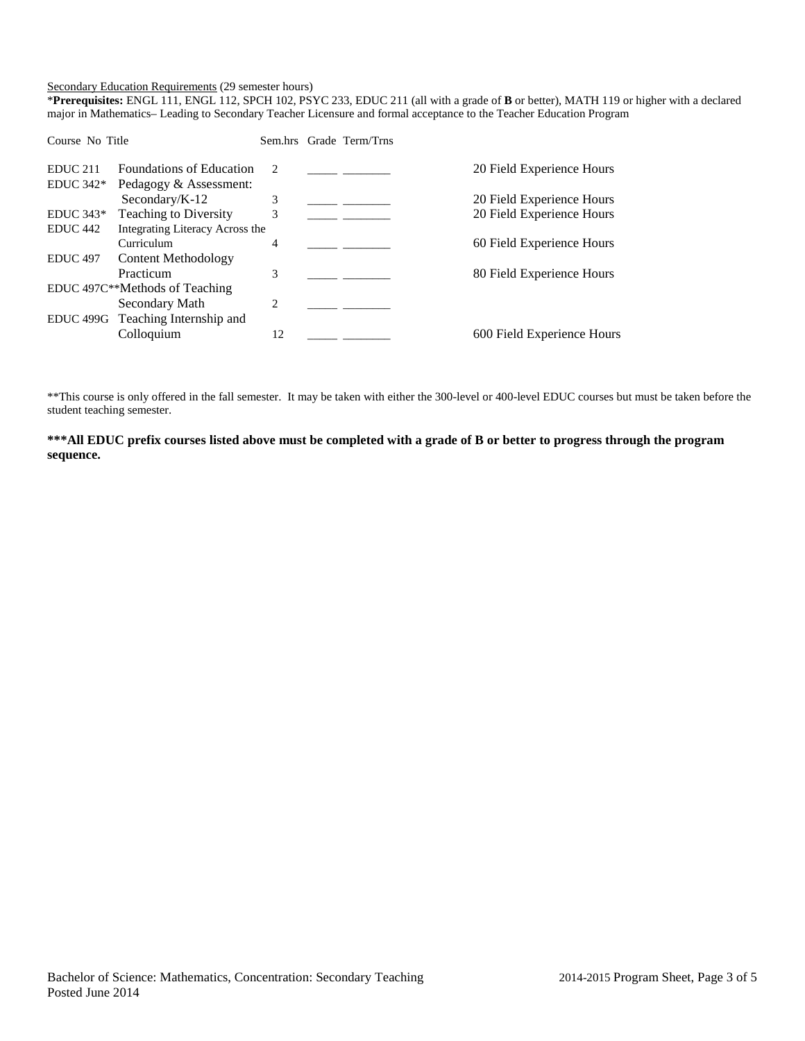#### Secondary Education Requirements (29 semester hours)

\***Prerequisites:** ENGL 111, ENGL 112, SPCH 102, PSYC 233, EDUC 211 (all with a grade of **B** or better), MATH 119 or higher with a declared major in Mathematics– Leading to Secondary Teacher Licensure and formal acceptance to the Teacher Education Program

| Course No Title     |                                   |               | Sem.hrs Grade Term/Trns |                            |
|---------------------|-----------------------------------|---------------|-------------------------|----------------------------|
| <b>EDUC 211</b>     | <b>Foundations of Education</b>   | $\mathcal{L}$ |                         | 20 Field Experience Hours  |
| $EDUC 342*$         | Pedagogy & Assessment:            |               |                         |                            |
|                     | Secondary/ $K-12$                 | 3             |                         | 20 Field Experience Hours  |
| $EDUC 343*$         | <b>Teaching to Diversity</b>      | 3             |                         | 20 Field Experience Hours  |
| EDUC <sub>442</sub> | Integrating Literacy Across the   |               |                         |                            |
|                     | Curriculum                        | 4             |                         | 60 Field Experience Hours  |
| <b>EDUC 497</b>     | Content Methodology               |               |                         |                            |
|                     | Practicum                         | 3             |                         | 80 Field Experience Hours  |
|                     | EDUC 497C**Methods of Teaching    |               |                         |                            |
|                     | Secondary Math                    | 2             |                         |                            |
|                     | EDUC 499G Teaching Internship and |               |                         |                            |
|                     | Colloquium                        | 12            |                         | 600 Field Experience Hours |
|                     |                                   |               |                         |                            |

\*\*This course is only offered in the fall semester. It may be taken with either the 300-level or 400-level EDUC courses but must be taken before the student teaching semester.

**\*\*\*All EDUC prefix courses listed above must be completed with a grade of B or better to progress through the program sequence.**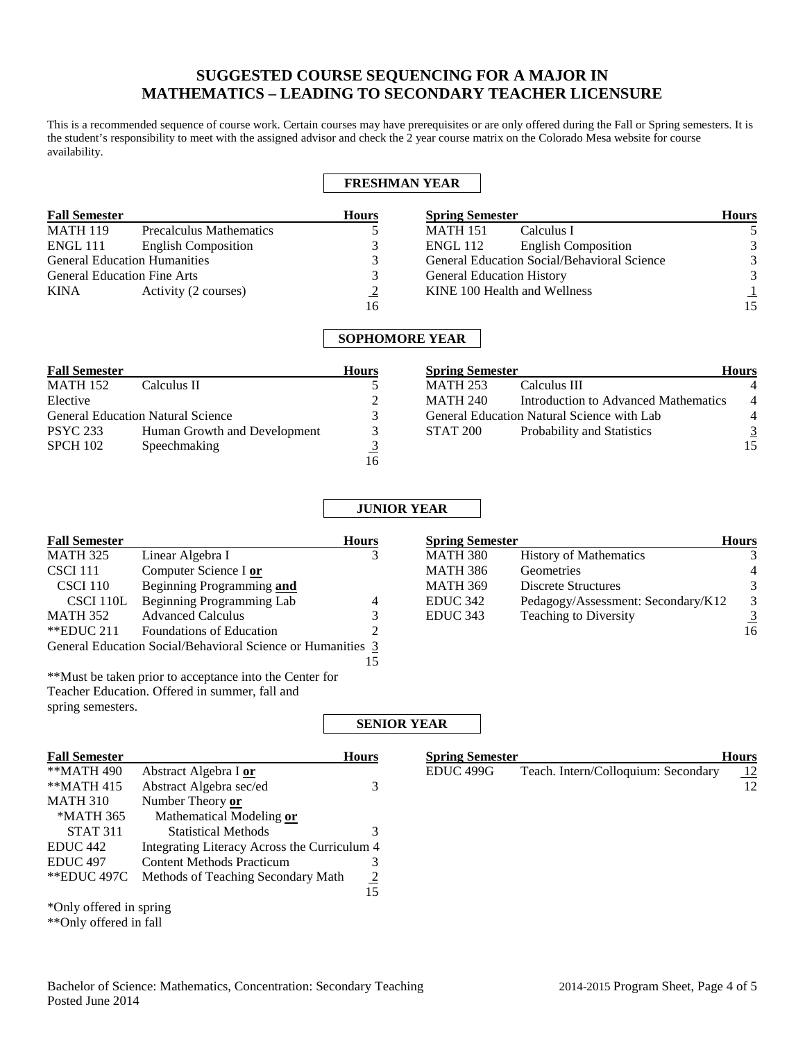# **SUGGESTED COURSE SEQUENCING FOR A MAJOR IN MATHEMATICS – LEADING TO SECONDARY TEACHER LICENSURE**

This is a recommended sequence of course work. Certain courses may have prerequisites or are only offered during the Fall or Spring semesters. It is the student's responsibility to meet with the assigned advisor and check the 2 year course matrix on the Colorado Mesa website for course availability.

## **FRESHMAN YEAR**

| <b>Fall Semester</b> |                                     | <b>Hours</b>  | <b>Spring Semester</b>                        | <b>Hours</b> |
|----------------------|-------------------------------------|---------------|-----------------------------------------------|--------------|
| <b>MATH 119</b>      | <b>Precalculus Mathematics</b>      |               | Calculus I<br><b>MATH 151</b>                 |              |
| <b>ENGL 111</b>      | <b>English Composition</b>          |               | <b>English Composition</b><br><b>ENGL 112</b> |              |
|                      | <b>General Education Humanities</b> |               | General Education Social/Behavioral Science   | 3            |
|                      | <b>General Education Fine Arts</b>  |               | <b>General Education History</b>              | 3            |
| KINA                 | Activity (2 courses)                | $\mathcal{D}$ | KINE 100 Health and Wellness                  |              |
|                      |                                     | 16            |                                               | 15           |

## **SOPHOMORE YEAR**

| <b>Fall Semester</b> |                                          | <b>Hours</b> | <b>Spring Semester</b> |                                            | <b>Hours</b>   |
|----------------------|------------------------------------------|--------------|------------------------|--------------------------------------------|----------------|
| <b>MATH 152</b>      | Calculus II                              |              | <b>MATH 253</b>        | Calculus III                               |                |
| Elective             |                                          |              | <b>MATH 240</b>        | Introduction to Advanced Mathematics       | $\overline{4}$ |
|                      | <b>General Education Natural Science</b> |              |                        | General Education Natural Science with Lab | 4              |
| <b>PSYC 233</b>      | Human Growth and Development             |              | <b>STAT 200</b>        | Probability and Statistics                 | 3              |
| SPCH 102             | Speechmaking                             |              |                        |                                            | 15             |
|                      |                                          | 16           |                        |                                            |                |

## **JUNIOR YEAR**

| <b>Fall Semester</b> |                                                             | <b>Hours</b> | <b>Spring Semester</b> |                                    | <b>Hours</b>  |
|----------------------|-------------------------------------------------------------|--------------|------------------------|------------------------------------|---------------|
| MATH 325             | Linear Algebra I                                            |              | MATH 380               | <b>History of Mathematics</b>      | 3             |
| CSCI 111             | Computer Science I or                                       |              | MATH 386               | Geometries                         | 4             |
| CSCI 110             | Beginning Programming and                                   |              | <b>MATH 369</b>        | Discrete Structures                | 3             |
| CSCI 110L            | Beginning Programming Lab                                   | 4            | EDUC 342               | Pedagogy/Assessment: Secondary/K12 | $\mathcal{E}$ |
| <b>MATH 352</b>      | <b>Advanced Calculus</b>                                    |              | EDUC 343               | Teaching to Diversity              | 3             |
| $*$ EDUC 211         | <b>Foundations of Education</b>                             |              |                        |                                    | 16            |
|                      | General Education Social/Behavioral Science or Humanities 3 |              |                        |                                    |               |

15

\*\*Must be taken prior to acceptance into the Center for Teacher Education. Offered in summer, fall and spring semesters.

### **SENIOR YEAR**

| <b>Fall Semester</b>    |                                              | Hours |
|-------------------------|----------------------------------------------|-------|
| **MATH 490              | Abstract Algebra I or                        |       |
| $*$ MATH 415            | Abstract Algebra sec/ed                      | 3     |
| <b>MATH 310</b>         | Number Theory or                             |       |
| *MATH 365               | Mathematical Modeling or                     |       |
| <b>STAT 311</b>         | <b>Statistical Methods</b>                   | 3     |
| EDUC <sub>442</sub>     | Integrating Literacy Across the Curriculum 4 |       |
| EDUC <sub>497</sub>     | <b>Content Methods Practicum</b>             | 3     |
| **EDUC 497C             | Methods of Teaching Secondary Math           | 2     |
|                         |                                              | 15    |
| *Only offered in spring |                                              |       |

| <b>Spring Semester</b> |                                     | <b>Hours</b> |
|------------------------|-------------------------------------|--------------|
| EDUC 499G              | Teach. Intern/Colloquium: Secondary | <u>12</u>    |

\*\*Only offered in fall